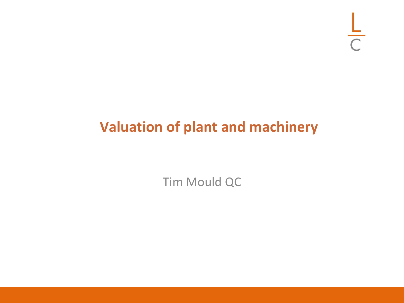## **Valuation of plant and machinery**

Tim Mould QC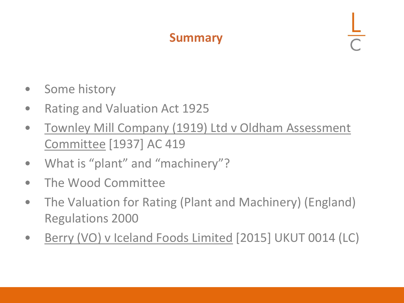#### **Summary**

- Some history
- Rating and Valuation Act 1925
- Townley Mill Company (1919) Ltd v Oldham Assessment Committee [1937] AC 419
- What is "plant" and "machinery"?
- The Wood Committee
- The Valuation for Rating (Plant and Machinery) (England) Regulations 2000
- Berry (VO) v Iceland Foods Limited [2015] UKUT 0014 (LC)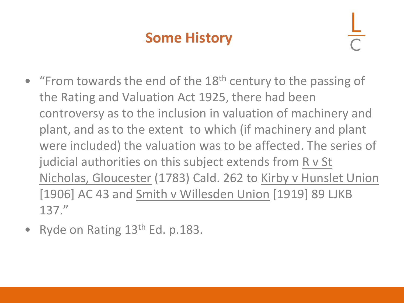## **Some History**

- "From towards the end of the  $18<sup>th</sup>$  century to the passing of the Rating and Valuation Act 1925, there had been controversy as to the inclusion in valuation of machinery and plant, and as to the extent to which (if machinery and plant were included) the valuation was to be affected. The series of judicial authorities on this subject extends from  $R$  v St Nicholas, Gloucester (1783) Cald. 262 to Kirby v Hunslet Union [1906] AC 43 and Smith v Willesden Union [1919] 89 LJKB 137."
- Ryde on Rating  $13<sup>th</sup>$  Ed. p.183.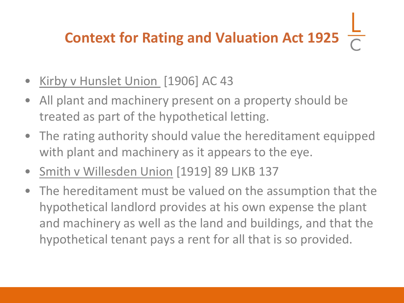## **Context for Rating and Valuation Act 1925**

- Kirby v Hunslet Union [1906] AC 43
- All plant and machinery present on a property should be treated as part of the hypothetical letting.
- The rating authority should value the hereditament equipped with plant and machinery as it appears to the eye.
- Smith v Willesden Union [1919] 89 LJKB 137
- The hereditament must be valued on the assumption that the hypothetical landlord provides at his own expense the plant and machinery as well as the land and buildings, and that the hypothetical tenant pays a rent for all that is so provided.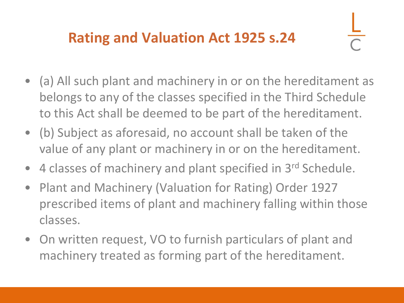## **Rating and Valuation Act 1925 s.24**

- (a) All such plant and machinery in or on the hereditament as belongs to any of the classes specified in the Third Schedule to this Act shall be deemed to be part of the hereditament.
- (b) Subject as aforesaid, no account shall be taken of the value of any plant or machinery in or on the hereditament.
- 4 classes of machinery and plant specified in 3rd Schedule.
- Plant and Machinery (Valuation for Rating) Order 1927 prescribed items of plant and machinery falling within those classes.
- On written request, VO to furnish particulars of plant and machinery treated as forming part of the hereditament.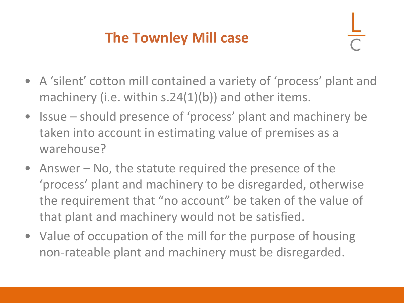## **The Townley Mill case**

- A 'silent' cotton mill contained a variety of 'process' plant and machinery (i.e. within s.24(1)(b)) and other items.
- Issue should presence of 'process' plant and machinery be taken into account in estimating value of premises as a warehouse?
- Answer No, the statute required the presence of the 'process' plant and machinery to be disregarded, otherwise the requirement that "no account" be taken of the value of that plant and machinery would not be satisfied.
- Value of occupation of the mill for the purpose of housing non-rateable plant and machinery must be disregarded.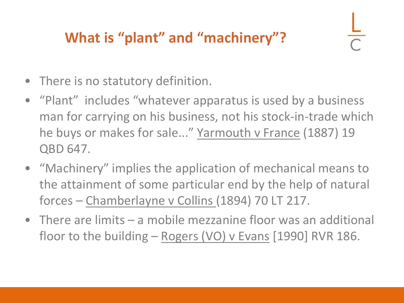## **What is "plant" and "machinery"?**

- There is no statutory definition.
- "Plant" includes "whatever apparatus is used by a business man for carrying on his business, not his stock-in-trade which he buys or makes for sale..." Yarmouth v France (1887) 19 QBD 647.
- "Machinery" implies the application of mechanical means to the attainment of some particular end by the help of natural forces – Chamberlayne v Collins (1894) 70 LT 217.
- There are limits a mobile mezzanine floor was an additional floor to the building – Rogers (VO) v Evans [1990] RVR 186.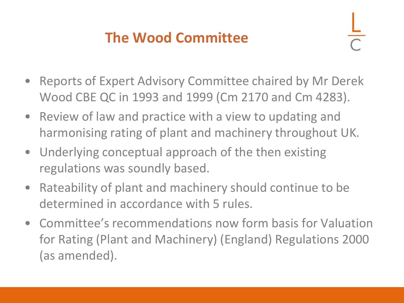## **The Wood Committee**

- Reports of Expert Advisory Committee chaired by Mr Derek Wood CBE QC in 1993 and 1999 (Cm 2170 and Cm 4283).
- Review of law and practice with a view to updating and harmonising rating of plant and machinery throughout UK.
- Underlying conceptual approach of the then existing regulations was soundly based.
- Rateability of plant and machinery should continue to be determined in accordance with 5 rules.
- Committee's recommendations now form basis for Valuation for Rating (Plant and Machinery) (England) Regulations 2000 (as amended).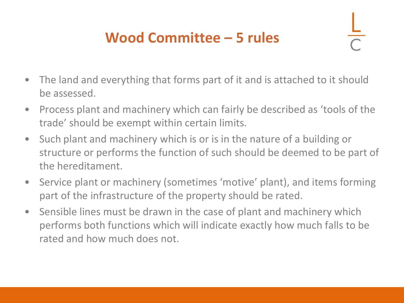## **Wood Committee – 5 rules**

- The land and everything that forms part of it and is attached to it should be assessed.
- Process plant and machinery which can fairly be described as 'tools of the trade' should be exempt within certain limits.
- Such plant and machinery which is or is in the nature of a building or structure or performs the function of such should be deemed to be part of the hereditament.
- Service plant or machinery (sometimes 'motive' plant), and items forming part of the infrastructure of the property should be rated.
- Sensible lines must be drawn in the case of plant and machinery which performs both functions which will indicate exactly how much falls to be rated and how much does not.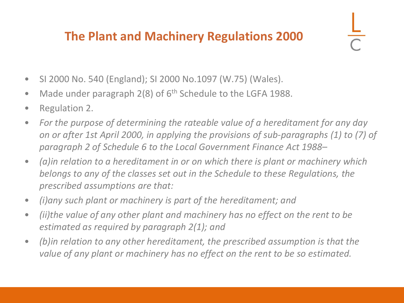#### **The Plant and Machinery Regulations 2000**

- SI 2000 No. 540 (England); SI 2000 No.1097 (W.75) (Wales).
- Made under paragraph  $2(8)$  of  $6<sup>th</sup>$  Schedule to the LGFA 1988.
- Regulation 2.
- *For the purpose of determining the rateable value of a hereditament for any day on or after 1st April 2000, in applying the provisions of sub-paragraphs (1) to (7) of paragraph 2 of Schedule 6 to the Local Government Finance Act 1988–*
- *(a)in relation to a hereditament in or on which there is plant or machinery which belongs to any of the classes set out in the Schedule to these Regulations, the prescribed assumptions are that:*
- *(i)any such plant or machinery is part of the hereditament; and*
- *(ii)the value of any other plant and machinery has no effect on the rent to be estimated as required by paragraph 2(1); and*
- *(b)in relation to any other hereditament, the prescribed assumption is that the value of any plant or machinery has no effect on the rent to be so estimated.*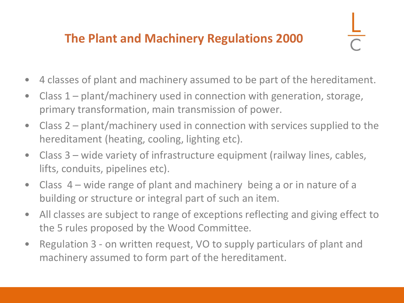#### **The Plant and Machinery Regulations 2000**

- 4 classes of plant and machinery assumed to be part of the hereditament.
- Class 1 plant/machinery used in connection with generation, storage, primary transformation, main transmission of power.
- Class 2 plant/machinery used in connection with services supplied to the hereditament (heating, cooling, lighting etc).
- Class 3 wide variety of infrastructure equipment (railway lines, cables, lifts, conduits, pipelines etc).
- Class 4 wide range of plant and machinery being a or in nature of a building or structure or integral part of such an item.
- All classes are subject to range of exceptions reflecting and giving effect to the 5 rules proposed by the Wood Committee.
- Regulation 3 on written request, VO to supply particulars of plant and machinery assumed to form part of the hereditament.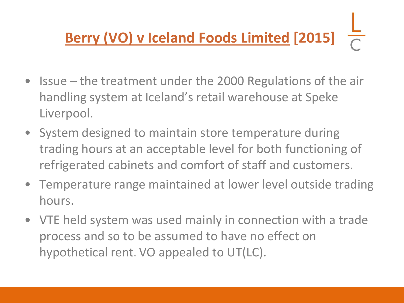# **Berry (VO) v Iceland Foods Limited [2015]**

- Issue the treatment under the 2000 Regulations of the air handling system at Iceland's retail warehouse at Speke Liverpool.
- System designed to maintain store temperature during trading hours at an acceptable level for both functioning of refrigerated cabinets and comfort of staff and customers.
- Temperature range maintained at lower level outside trading hours.
- VTE held system was used mainly in connection with a trade process and so to be assumed to have no effect on hypothetical rent. VO appealed to UT(LC).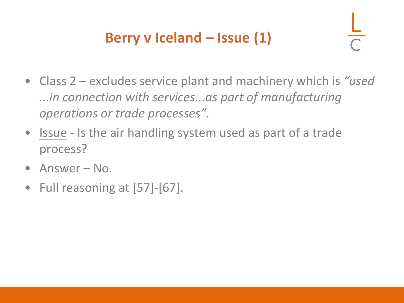## **Berry v Iceland – Issue (1)**

- Class 2 excludes service plant and machinery which is *"used ...in connection with services...as part of manufacturing operations or trade processes".*
- Issue Is the air handling system used as part of a trade process?
- Answer No.
- Full reasoning at [57]-[67].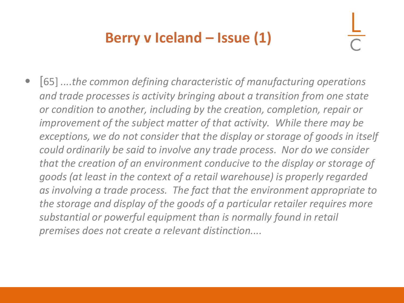## **Berry v Iceland – Issue (1)**

• [65] *....the common defining characteristic of manufacturing operations and trade processes is activity bringing about a transition from one state or condition to another, including by the creation, completion, repair or improvement of the subject matter of that activity. While there may be exceptions, we do not consider that the display or storage of goods in itself could ordinarily be said to involve any trade process. Nor do we consider that the creation of an environment conducive to the display or storage of goods (at least in the context of a retail warehouse) is properly regarded as involving a trade process. The fact that the environment appropriate to the storage and display of the goods of a particular retailer requires more substantial or powerful equipment than is normally found in retail premises does not create a relevant distinction....*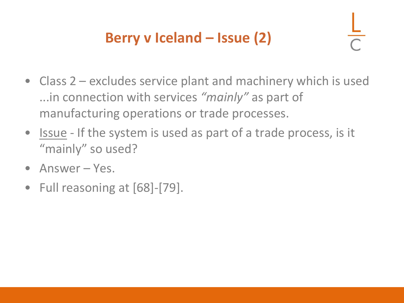## **Berry v Iceland – Issue (2)**

- Class 2 excludes service plant and machinery which is used ...in connection with services *"mainly"* as part of manufacturing operations or trade processes.
- Issue If the system is used as part of a trade process, is it "mainly" so used?
- Answer Yes.
- Full reasoning at [68]-[79].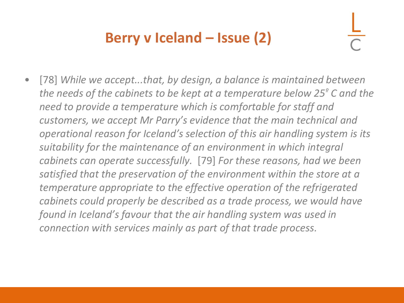## **Berry v Iceland – Issue (2)**

[78] While we accept...that, by design, a balance is maintained between *the needs of the cabinets to be kept at a temperature below 25<sup>º</sup> C and the need to provide a temperature which is comfortable for staff and customers, we accept Mr Parry's evidence that the main technical and operational reason for Iceland's selection of this air handling system is its suitability for the maintenance of an environment in which integral cabinets can operate successfully.* [79] *For these reasons, had we been satisfied that the preservation of the environment within the store at a temperature appropriate to the effective operation of the refrigerated cabinets could properly be described as a trade process, we would have found in Iceland's favour that the air handling system was used in connection with services mainly as part of that trade process.*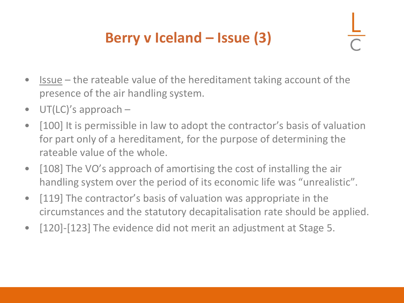## **Berry v Iceland – Issue (3)**

- $\blacksquare$  Issue the rateable value of the hereditament taking account of the presence of the air handling system.
- UT(LC)'s approach –
- [100] It is permissible in law to adopt the contractor's basis of valuation for part only of a hereditament, for the purpose of determining the rateable value of the whole.
- [108] The VO's approach of amortising the cost of installing the air handling system over the period of its economic life was "unrealistic".
- [119] The contractor's basis of valuation was appropriate in the circumstances and the statutory decapitalisation rate should be applied.
- [120]-[123] The evidence did not merit an adjustment at Stage 5.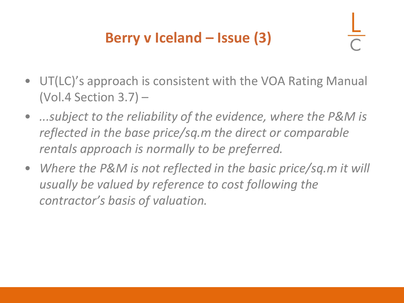## **Berry v Iceland – Issue (3)**

- UT(LC)'s approach is consistent with the VOA Rating Manual (Vol.4 Section 3.7) –
- *...subject to the reliability of the evidence, where the P&M is reflected in the base price/sq.m the direct or comparable rentals approach is normally to be preferred.*
- *Where the P&M is not reflected in the basic price/sq.m it will usually be valued by reference to cost following the contractor's basis of valuation.*